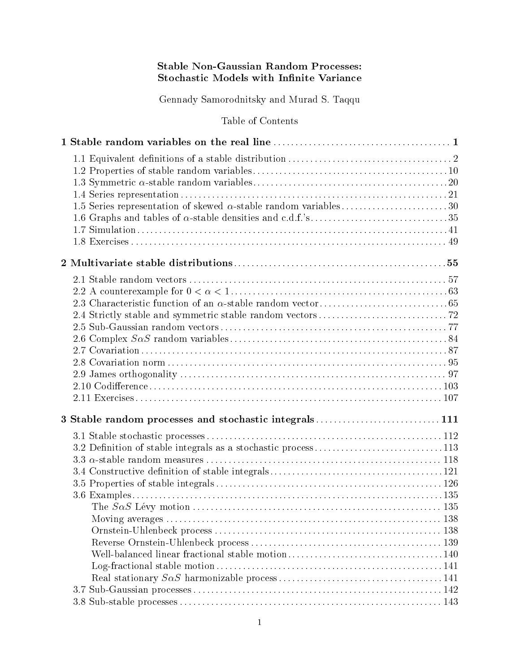## **Stable Non-Gaussian Random Processes:** Stochastic Models with Infinite Variance

Gennady Samorodnitsky and Murad S. Taqqu

Table of Contents

| 3 Stable random processes and stochastic integrals111         |  |
|---------------------------------------------------------------|--|
|                                                               |  |
| 3.2 Definition of stable integrals as a stochastic process113 |  |
|                                                               |  |
|                                                               |  |
|                                                               |  |
|                                                               |  |
|                                                               |  |
|                                                               |  |
|                                                               |  |
|                                                               |  |
|                                                               |  |
|                                                               |  |
|                                                               |  |
|                                                               |  |
|                                                               |  |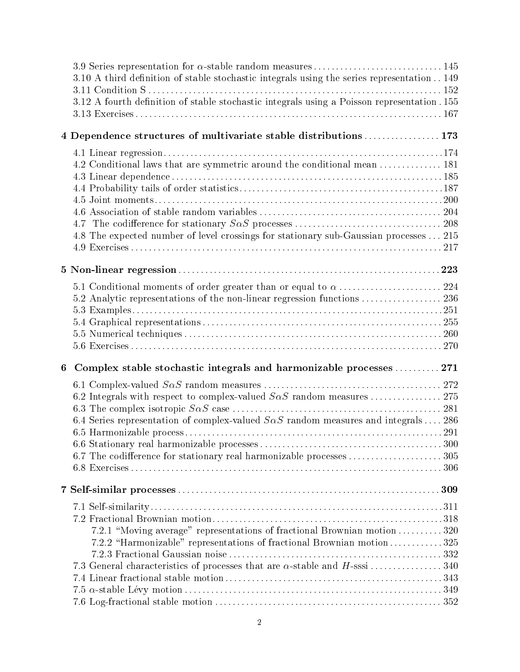| 3.10 A third definition of stable stochastic integrals using the series representation 149<br>3.12 A fourth definition of stable stochastic integrals using a Poisson representation. 155 |     |
|-------------------------------------------------------------------------------------------------------------------------------------------------------------------------------------------|-----|
| 4 Dependence structures of multivariate stable distributions  173                                                                                                                         |     |
|                                                                                                                                                                                           |     |
| 4.2 Conditional laws that are symmetric around the conditional mean  181                                                                                                                  |     |
|                                                                                                                                                                                           |     |
|                                                                                                                                                                                           |     |
|                                                                                                                                                                                           |     |
|                                                                                                                                                                                           |     |
|                                                                                                                                                                                           |     |
| 4.8 The expected number of level crossings for stationary sub-Gaussian processes  215                                                                                                     |     |
|                                                                                                                                                                                           |     |
|                                                                                                                                                                                           |     |
|                                                                                                                                                                                           |     |
|                                                                                                                                                                                           |     |
|                                                                                                                                                                                           |     |
|                                                                                                                                                                                           |     |
|                                                                                                                                                                                           |     |
|                                                                                                                                                                                           |     |
|                                                                                                                                                                                           |     |
| Complex stable stochastic integrals and harmonizable processes  271<br>6                                                                                                                  |     |
|                                                                                                                                                                                           |     |
|                                                                                                                                                                                           |     |
|                                                                                                                                                                                           |     |
| 6.4 Series representation of complex-valued $S\alpha S$ random measures and integrals  286                                                                                                |     |
|                                                                                                                                                                                           |     |
|                                                                                                                                                                                           |     |
|                                                                                                                                                                                           |     |
|                                                                                                                                                                                           |     |
|                                                                                                                                                                                           |     |
|                                                                                                                                                                                           |     |
|                                                                                                                                                                                           |     |
| 7.2.1 "Moving average" representations of fractional Brownian motion320                                                                                                                   |     |
| 7.2.2 "Harmonizable" representations of fractional Brownian motion325                                                                                                                     |     |
|                                                                                                                                                                                           |     |
| 7.3 General characteristics of processes that are $\alpha$ -stable and H-sssi 340                                                                                                         |     |
|                                                                                                                                                                                           |     |
|                                                                                                                                                                                           |     |
|                                                                                                                                                                                           | 352 |

7.6 Log-fractional stable motion ::::::::::::::::::::::::::::::::::::::::::::::::::: 352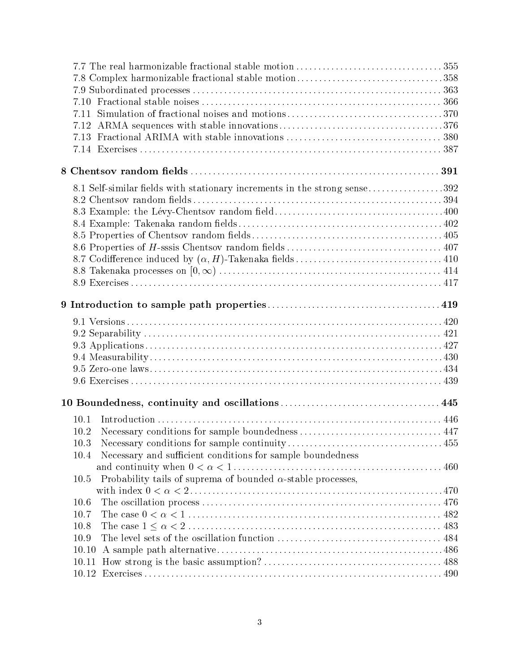| 7.10                                                                        |  |
|-----------------------------------------------------------------------------|--|
| 7.11                                                                        |  |
| 7.12                                                                        |  |
| 7.13                                                                        |  |
|                                                                             |  |
|                                                                             |  |
| 8.1 Self-similar fields with stationary increments in the strong sense392   |  |
|                                                                             |  |
|                                                                             |  |
|                                                                             |  |
|                                                                             |  |
|                                                                             |  |
|                                                                             |  |
|                                                                             |  |
|                                                                             |  |
|                                                                             |  |
|                                                                             |  |
|                                                                             |  |
|                                                                             |  |
|                                                                             |  |
|                                                                             |  |
|                                                                             |  |
|                                                                             |  |
| 10.1                                                                        |  |
| 10.2                                                                        |  |
| 10.3                                                                        |  |
| Necessary and sufficient conditions for sample boundedness<br>10.4          |  |
|                                                                             |  |
| Probability tails of suprema of bounded $\alpha$ -stable processes,<br>10.5 |  |
|                                                                             |  |
| 10.6                                                                        |  |
| 10.7                                                                        |  |
| 10.8                                                                        |  |
| 10.9                                                                        |  |
| 10.10                                                                       |  |
| 10.11                                                                       |  |
|                                                                             |  |